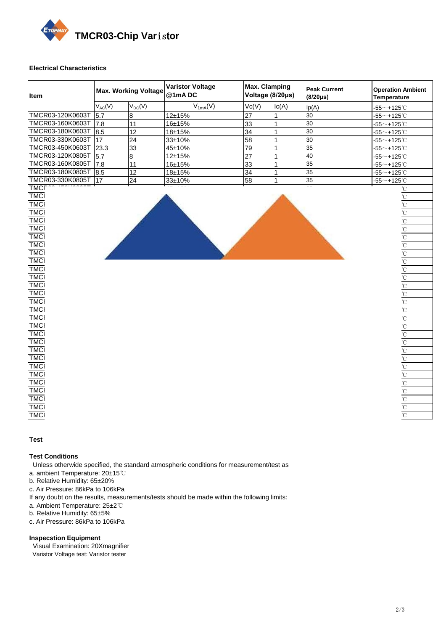

### **Electrical Characteristics**

| Item             | <b>Max. Working Voltage</b> |                 | <b>Varistor Voltage</b><br>@1mADC | <b>Max. Clamping</b><br>Voltage (8/20µs) |                | <b>Peak Current</b><br>$(8/20\mu s)$ | <b>Operation Ambient</b><br><b>Temperature</b> |  |
|------------------|-----------------------------|-----------------|-----------------------------------|------------------------------------------|----------------|--------------------------------------|------------------------------------------------|--|
|                  | $V_{AC}(V)$                 | $V_{DC}(V)$     | $V_{1mA}(V)$                      | Vc(V)                                    | lc(A)          | lp(A)                                | $-55$ ~+125℃                                   |  |
| TMCR03-120K0603T | 5.7                         | 8               | 12±15%                            | 27                                       |                | 30                                   | $-55^\sim + 125^\circ C$                       |  |
| TMCR03-160K0603T | 7.8                         | 11              | 16±15%                            | 33                                       |                | 30                                   | $-55$ ~+125℃                                   |  |
| TMCR03-180K0603T | 8.5                         | 12              | 18±15%                            | 34                                       |                | 30                                   | $-55$ $\sim$ +125 $^{\circ}$ C                 |  |
| TMCR03-330K0603T | 17                          | 24              | 33±10%                            | $\overline{58}$                          | 1              | 30                                   | $-55$ ~+125 $^{\circ}$ C                       |  |
| TMCR03-450K0603T | 23.3                        | $\overline{33}$ | 45±10%                            | $\overline{79}$                          |                | 35                                   | $-55$ ~+125℃                                   |  |
| TMCR03-120K0805T | 5.7                         | 8               | 12±15%                            | $\overline{27}$                          | 1              | 40                                   | $-55^\sim + 125^\circ \text{C}$                |  |
| TMCR03-160K0805T | 7.8                         | 11              | 16±15%                            | 33                                       | 1              | 35                                   | $-55^\sim + 125^\circ \text{C}$                |  |
| TMCR03-180K0805T | 8.5                         | 12              | 18±15%                            | 34                                       | $\mathbf{1}$   | 35                                   | $-55$ ~+125℃                                   |  |
| TMCR03-330K0805T | 17                          | 24              | 33±10%                            | $\overline{58}$                          | 1              | 35                                   | $-55^\sim + 125^\circ \text{C}$                |  |
| TMCR03-450K0805T | 23.3                        | 33              | 45±10%                            | $\overline{79}$                          | 1              | 35                                   | $-55^\sim + 125^\circ \text{C}$                |  |
| TMCR03-120K1206T | 5.7                         | 8               | 12±15%                            | 27                                       | 1              | 40                                   | $-55^\sim + 125^\circ \text{C}$                |  |
| TMCR03-160K1206T | 7.8                         | 11              | 16±15%                            | 33                                       |                | 30                                   | $-55$ ~+125 $^{\circ}$ C                       |  |
| TMCR03-180K1206T | 8.5                         | 12              | 18±15%                            | 34                                       | 1              | 30                                   | $-55$ ~+125 $^{\circ}$ C                       |  |
| TMCR03-450K1206T | 23.3                        | 33              | 45±10%                            | $\overline{79}$                          |                | 35                                   | $-55^\sim + 125^\circ C$                       |  |
| TMCR03-250K1210T | 12.7                        | 18              | 25±10%                            | $\overline{44}$                          | 2.5            | 300                                  | $-55^\sim + 125^\circ \text{C}$                |  |
| TMCR03-330K1210T | 17                          | 24              | 33±10%                            | 58                                       | 2.5            | 300                                  | $-55^\sim + 125^\circ C$                       |  |
| TMCR03-450K1210T | 23.3                        | 33              | 45±10%                            | 79                                       | 2.5            | 280                                  | $-55^\sim + 125^\circ \text{C}$                |  |
| TMCR03-560K1210T | 30                          | 42              | 56±10%                            | 99                                       | 2.5            | 280                                  | $-55^\sim + 125^\circ \text{C}$                |  |
| TMCR03-250K1812T | 12.7                        | 18              | 25±10%                            | $\overline{44}$                          | 5              | 500                                  | $-55$ ~+125℃                                   |  |
| TMCR03-330K1812T | 17                          | 24              | 33±10%                            | 58                                       | 5              | 500                                  | $-55^\sim + 125^\circ \text{C}$                |  |
| TMCR03-450K1812T | 23.3                        | 33              | 45±10%                            | $\overline{79}$                          | 5              | 500                                  | $-55$ ~+125℃                                   |  |
| TMCR03-560K1812T | 30                          | 42              | 56±10%                            | 99                                       | 5              | 500                                  | $-55$ ~+125℃                                   |  |
| TMCR03-250K2220T | 12.7                        | 18              | 25±10%                            | 44                                       | $\overline{5}$ | 600                                  | $-55^\sim + 125^\circ C$                       |  |
| TMCR03-330K2220T | 17                          | 24              | 33±10%                            | 58                                       | 5              | 600                                  | $-55^\sim + 125^\circ \text{C}$                |  |
| TMCR03-450K2220T | 23.3                        | 33              | 45±10%                            | 79                                       | 5              | 600                                  | $-55$ ~+125℃                                   |  |
| TMCR03-560K2220T | 30                          | 42              | 56±10%                            | $\overline{99}$                          | $\overline{5}$ | 600                                  | $-55^\sim + 125^\circ \text{C}$                |  |
| TMCR03-620K2220T | 34                          | $\overline{48}$ | 62±10%                            | 110                                      | $\overline{5}$ | 600                                  | $-55^\sim + 125^\circ \text{C}$                |  |
| TMCR03-760K2220T | 45                          | 60              | 76±10%                            | 134                                      | 5              | 600                                  | $-55^\sim + 125^\circ \text{C}$                |  |
| TMCR03-860K2220T | 48                          | 68              | 86±10%                            | 151                                      | 5              | 600                                  | $-55^\sim + 125^\circ \text{C}$                |  |
| TMCR03-241K0805T | 150                         | 200             | 240±10%                           | 395                                      | $\mathbf{1}$   | 200                                  | $-55$ ~+125 $^{\circ}$ C                       |  |
| TMCR03-431K0805T | 275                         | 350             | 430±10%                           | 705                                      |                | 100                                  | $-55^\sim + 125^\circ C$                       |  |
| TMCR03-271K1206T | 175                         | 225             | 270±10%                           | 450                                      | 1              | 300                                  | $-55$ ~+125℃                                   |  |
| TMCR03-431K1206T | 275                         | 350             | 430±10%                           | 705                                      | 1              | 100                                  | $-55^\sim + 125^\circ \text{C}$                |  |
| TMCR03-471K1206T | 300                         | 385             | 470±10%                           | 775                                      | 1              | 100                                  | $-55$ ~+125℃                                   |  |
| TMCR03-471K1210T | 300                         | 385             | 470±10%                           | 775                                      | 2.5            | 400                                  | $-55$ ~+125 $^{\circ}$ C                       |  |
| TMCR03-561K1210T | 350                         | 460             | 560±10%                           | 950                                      | 2.5            | 200                                  | $-55^\sim + 125^\circ \text{C}$                |  |
| TMCR03-471K1812T | 300                         | 385             | 470±10%                           | 775                                      | 5              | 600                                  | $-55^\sim + 125^\circ \text{C}$                |  |
| TMCR03-471K2220T | 300                         | 385             | 470±10%                           | 775                                      | 10             | 800                                  | $-55^\sim + 125^\circ \text{C}$                |  |

## **Test and Measurement Procedures**

#### **Test Conditions**

Unless otherwide specified, the standard atmospheric conditions for measurement/test as

- a. ambient Temperature: 20±15℃
- b. Relative Humidity: 65±20%
- c. Air Pressure: 86kPa to 106kPa
- If any doubt on the results, measurements/tests should be made within the following limits:
- a. Ambient Temperature: 25±2℃
- b. Relative Humidity: 65±5%
- c. Air Pressure: 86kPa to 106kPa

## **Inspecstion Equipment**

 Visual Examination: 20Xmagnifier Varistor Voltage test: Varistor tester